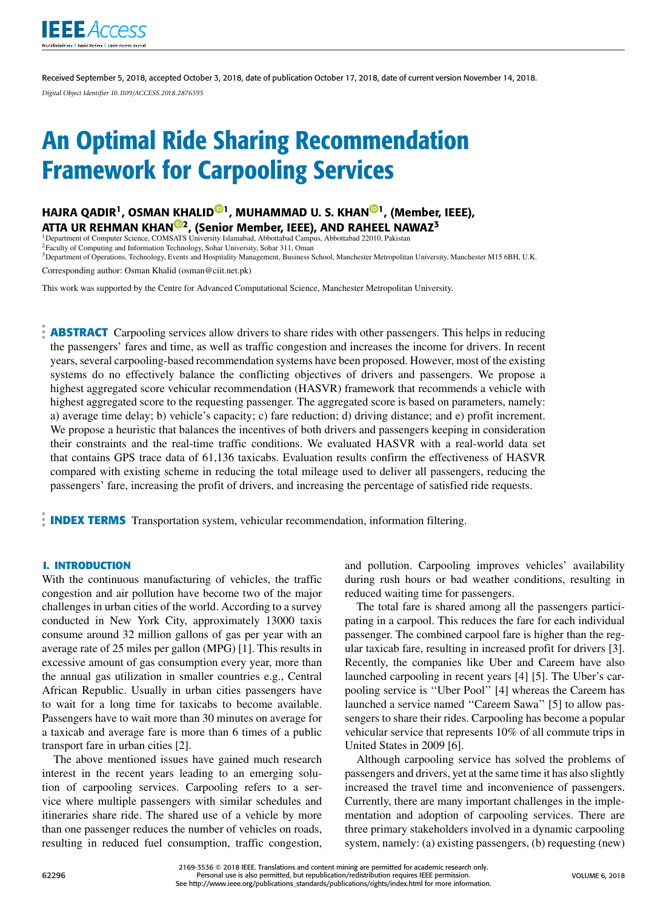

Received September 5, 2018, accepted October 3, 2018, date of publication October 17, 2018, date of current version November 14, 2018. *Digital Object Identifier 10.1109/ACCESS.2018.2876595*

# An Optimal Ride Sharing Recommendation Framework for Carpooling Services

HAJRA QADIR<sup>1</sup>, OSMAN KHALID<sup>®1</sup>, MUHAMMAD U. S. KHAN<sup>®1</sup>, (Member, IEEE), ATTA UR REHMAN KHAN<sup>102</sup>, (Senior Member, IEEE), AND RAHEEL NAWAZ<sup>3</sup><br><sup>1</sup>Department of Computer Science, COMSATS University Islamabad, Abbottabad Campus, Abbottabad 22010, Pakistan

<sup>2</sup>Faculty of Computing and Information Technology, Sohar University, Sohar 311, Oman

<sup>3</sup> Department of Operations, Technology, Events and Hospitality Management, Business School, Manchester Metropolitan University, Manchester M15 6BH, U.K.

Corresponding author: Osman Khalid (osman@ciit.net.pk)

This work was supported by the Centre for Advanced Computational Science, Manchester Metropolitan University.

**ABSTRACT** Carpooling services allow drivers to share rides with other passengers. This helps in reducing the passengers' fares and time, as well as traffic congestion and increases the income for drivers. In recent years, several carpooling-based recommendation systems have been proposed. However, most of the existing systems do no effectively balance the conflicting objectives of drivers and passengers. We propose a highest aggregated score vehicular recommendation (HASVR) framework that recommends a vehicle with highest aggregated score to the requesting passenger. The aggregated score is based on parameters, namely: a) average time delay; b) vehicle's capacity; c) fare reduction; d) driving distance; and e) profit increment. We propose a heuristic that balances the incentives of both drivers and passengers keeping in consideration their constraints and the real-time traffic conditions. We evaluated HASVR with a real-world data set that contains GPS trace data of 61,136 taxicabs. Evaluation results confirm the effectiveness of HASVR compared with existing scheme in reducing the total mileage used to deliver all passengers, reducing the passengers' fare, increasing the profit of drivers, and increasing the percentage of satisfied ride requests.

**INDEX TERMS** Transportation system, vehicular recommendation, information filtering.

#### **I. INTRODUCTION**

With the continuous manufacturing of vehicles, the traffic congestion and air pollution have become two of the major challenges in urban cities of the world. According to a survey conducted in New York City, approximately 13000 taxis consume around 32 million gallons of gas per year with an average rate of 25 miles per gallon (MPG) [1]. This results in excessive amount of gas consumption every year, more than the annual gas utilization in smaller countries e.g., Central African Republic. Usually in urban cities passengers have to wait for a long time for taxicabs to become available. Passengers have to wait more than 30 minutes on average for a taxicab and average fare is more than 6 times of a public transport fare in urban cities [2].

The above mentioned issues have gained much research interest in the recent years leading to an emerging solution of carpooling services. Carpooling refers to a service where multiple passengers with similar schedules and itineraries share ride. The shared use of a vehicle by more than one passenger reduces the number of vehicles on roads, resulting in reduced fuel consumption, traffic congestion, and pollution. Carpooling improves vehicles' availability during rush hours or bad weather conditions, resulting in reduced waiting time for passengers.

The total fare is shared among all the passengers participating in a carpool. This reduces the fare for each individual passenger. The combined carpool fare is higher than the regular taxicab fare, resulting in increased profit for drivers [3]. Recently, the companies like Uber and Careem have also launched carpooling in recent years [4] [5]. The Uber's carpooling service is ''Uber Pool'' [4] whereas the Careem has launched a service named ''Careem Sawa'' [5] to allow passengers to share their rides. Carpooling has become a popular vehicular service that represents 10% of all commute trips in United States in 2009 [6].

Although carpooling service has solved the problems of passengers and drivers, yet at the same time it has also slightly increased the travel time and inconvenience of passengers. Currently, there are many important challenges in the implementation and adoption of carpooling services. There are three primary stakeholders involved in a dynamic carpooling system, namely: (a) existing passengers, (b) requesting (new)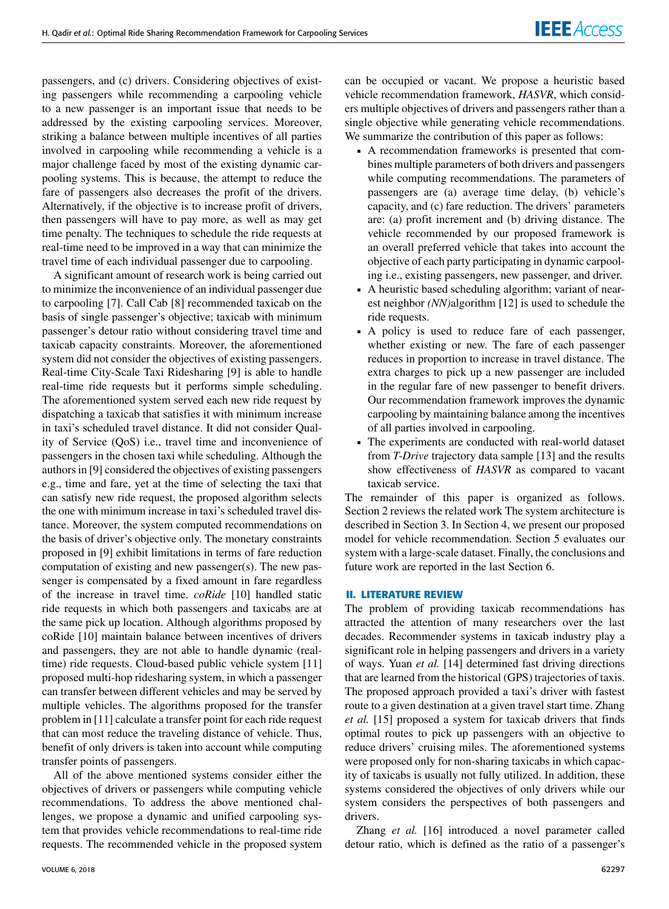passengers, and (c) drivers. Considering objectives of existing passengers while recommending a carpooling vehicle to a new passenger is an important issue that needs to be addressed by the existing carpooling services. Moreover, striking a balance between multiple incentives of all parties involved in carpooling while recommending a vehicle is a major challenge faced by most of the existing dynamic carpooling systems. This is because, the attempt to reduce the fare of passengers also decreases the profit of the drivers. Alternatively, if the objective is to increase profit of drivers, then passengers will have to pay more, as well as may get time penalty. The techniques to schedule the ride requests at real-time need to be improved in a way that can minimize the travel time of each individual passenger due to carpooling.

A significant amount of research work is being carried out to minimize the inconvenience of an individual passenger due to carpooling [7]. Call Cab [8] recommended taxicab on the basis of single passenger's objective; taxicab with minimum passenger's detour ratio without considering travel time and taxicab capacity constraints. Moreover, the aforementioned system did not consider the objectives of existing passengers. Real-time City-Scale Taxi Ridesharing [9] is able to handle real-time ride requests but it performs simple scheduling. The aforementioned system served each new ride request by dispatching a taxicab that satisfies it with minimum increase in taxi's scheduled travel distance. It did not consider Quality of Service (QoS) i.e., travel time and inconvenience of passengers in the chosen taxi while scheduling. Although the authors in [9] considered the objectives of existing passengers e.g., time and fare, yet at the time of selecting the taxi that can satisfy new ride request, the proposed algorithm selects the one with minimum increase in taxi's scheduled travel distance. Moreover, the system computed recommendations on the basis of driver's objective only. The monetary constraints proposed in [9] exhibit limitations in terms of fare reduction computation of existing and new passenger(s). The new passenger is compensated by a fixed amount in fare regardless of the increase in travel time. *coRide* [10] handled static ride requests in which both passengers and taxicabs are at the same pick up location. Although algorithms proposed by coRide [10] maintain balance between incentives of drivers and passengers, they are not able to handle dynamic (realtime) ride requests. Cloud-based public vehicle system [11] proposed multi-hop ridesharing system, in which a passenger can transfer between different vehicles and may be served by multiple vehicles. The algorithms proposed for the transfer problem in [11] calculate a transfer point for each ride request that can most reduce the traveling distance of vehicle. Thus, benefit of only drivers is taken into account while computing transfer points of passengers.

All of the above mentioned systems consider either the objectives of drivers or passengers while computing vehicle recommendations. To address the above mentioned challenges, we propose a dynamic and unified carpooling system that provides vehicle recommendations to real-time ride requests. The recommended vehicle in the proposed system can be occupied or vacant. We propose a heuristic based vehicle recommendation framework, *HASVR*, which considers multiple objectives of drivers and passengers rather than a single objective while generating vehicle recommendations. We summarize the contribution of this paper as follows:

- A recommendation frameworks is presented that combines multiple parameters of both drivers and passengers while computing recommendations. The parameters of passengers are (a) average time delay, (b) vehicle's capacity, and (c) fare reduction. The drivers' parameters are: (a) profit increment and (b) driving distance. The vehicle recommended by our proposed framework is an overall preferred vehicle that takes into account the objective of each party participating in dynamic carpooling i.e., existing passengers, new passenger, and driver.
- A heuristic based scheduling algorithm; variant of nearest neighbor *(NN)*algorithm [12] is used to schedule the ride requests.
- A policy is used to reduce fare of each passenger, whether existing or new. The fare of each passenger reduces in proportion to increase in travel distance. The extra charges to pick up a new passenger are included in the regular fare of new passenger to benefit drivers. Our recommendation framework improves the dynamic carpooling by maintaining balance among the incentives of all parties involved in carpooling.
- The experiments are conducted with real-world dataset from *T-Drive* trajectory data sample [13] and the results show effectiveness of *HASVR* as compared to vacant taxicab service.

The remainder of this paper is organized as follows. Section 2 reviews the related work The system architecture is described in Section 3. In Section 4, we present our proposed model for vehicle recommendation. Section 5 evaluates our system with a large-scale dataset. Finally, the conclusions and future work are reported in the last Section 6.

# **II. LITERATURE REVIEW**

The problem of providing taxicab recommendations has attracted the attention of many researchers over the last decades. Recommender systems in taxicab industry play a significant role in helping passengers and drivers in a variety of ways. Yuan *et al.* [14] determined fast driving directions that are learned from the historical (GPS) trajectories of taxis. The proposed approach provided a taxi's driver with fastest route to a given destination at a given travel start time. Zhang *et al.* [15] proposed a system for taxicab drivers that finds optimal routes to pick up passengers with an objective to reduce drivers' cruising miles. The aforementioned systems were proposed only for non-sharing taxicabs in which capacity of taxicabs is usually not fully utilized. In addition, these systems considered the objectives of only drivers while our system considers the perspectives of both passengers and drivers.

Zhang *et al.* [16] introduced a novel parameter called detour ratio, which is defined as the ratio of a passenger's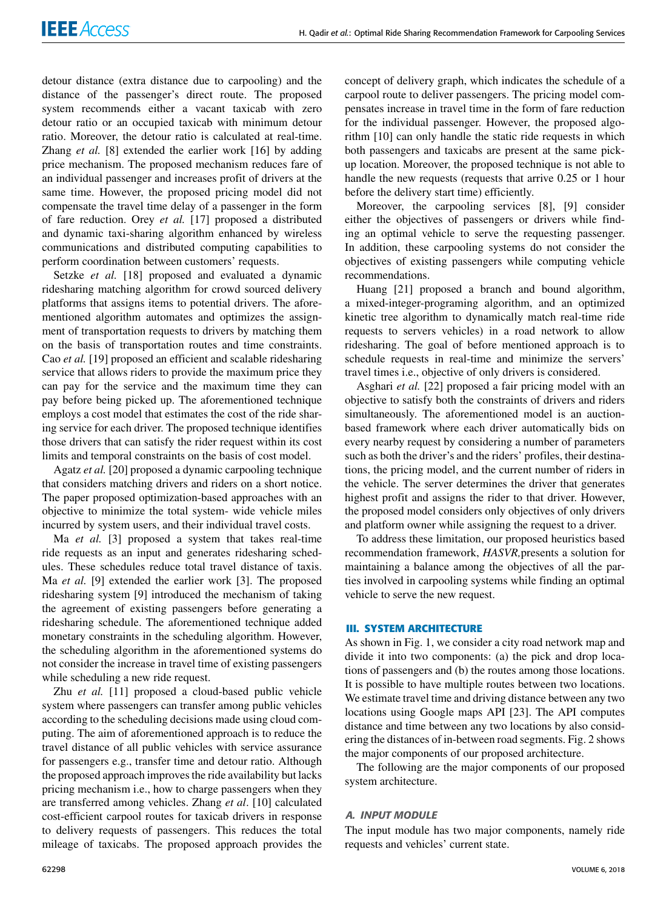detour distance (extra distance due to carpooling) and the distance of the passenger's direct route. The proposed system recommends either a vacant taxicab with zero detour ratio or an occupied taxicab with minimum detour ratio. Moreover, the detour ratio is calculated at real-time. Zhang *et al.* [8] extended the earlier work [16] by adding price mechanism. The proposed mechanism reduces fare of an individual passenger and increases profit of drivers at the same time. However, the proposed pricing model did not compensate the travel time delay of a passenger in the form of fare reduction. Orey *et al.* [17] proposed a distributed and dynamic taxi-sharing algorithm enhanced by wireless communications and distributed computing capabilities to perform coordination between customers' requests.

Setzke *et al.* [18] proposed and evaluated a dynamic ridesharing matching algorithm for crowd sourced delivery platforms that assigns items to potential drivers. The aforementioned algorithm automates and optimizes the assignment of transportation requests to drivers by matching them on the basis of transportation routes and time constraints. Cao *et al.* [19] proposed an efficient and scalable ridesharing service that allows riders to provide the maximum price they can pay for the service and the maximum time they can pay before being picked up. The aforementioned technique employs a cost model that estimates the cost of the ride sharing service for each driver. The proposed technique identifies those drivers that can satisfy the rider request within its cost limits and temporal constraints on the basis of cost model.

Agatz *et al.* [20] proposed a dynamic carpooling technique that considers matching drivers and riders on a short notice. The paper proposed optimization-based approaches with an objective to minimize the total system- wide vehicle miles incurred by system users, and their individual travel costs.

Ma *et al.* [3] proposed a system that takes real-time ride requests as an input and generates ridesharing schedules. These schedules reduce total travel distance of taxis. Ma *et al.* [9] extended the earlier work [3]. The proposed ridesharing system [9] introduced the mechanism of taking the agreement of existing passengers before generating a ridesharing schedule. The aforementioned technique added monetary constraints in the scheduling algorithm. However, the scheduling algorithm in the aforementioned systems do not consider the increase in travel time of existing passengers while scheduling a new ride request.

Zhu *et al.* [11] proposed a cloud-based public vehicle system where passengers can transfer among public vehicles according to the scheduling decisions made using cloud computing. The aim of aforementioned approach is to reduce the travel distance of all public vehicles with service assurance for passengers e.g., transfer time and detour ratio. Although the proposed approach improves the ride availability but lacks pricing mechanism i.e., how to charge passengers when they are transferred among vehicles. Zhang *et al*. [10] calculated cost-efficient carpool routes for taxicab drivers in response to delivery requests of passengers. This reduces the total mileage of taxicabs. The proposed approach provides the concept of delivery graph, which indicates the schedule of a carpool route to deliver passengers. The pricing model compensates increase in travel time in the form of fare reduction for the individual passenger. However, the proposed algorithm [10] can only handle the static ride requests in which both passengers and taxicabs are present at the same pickup location. Moreover, the proposed technique is not able to handle the new requests (requests that arrive 0.25 or 1 hour before the delivery start time) efficiently.

Moreover, the carpooling services [8], [9] consider either the objectives of passengers or drivers while finding an optimal vehicle to serve the requesting passenger. In addition, these carpooling systems do not consider the objectives of existing passengers while computing vehicle recommendations.

Huang [21] proposed a branch and bound algorithm, a mixed-integer-programing algorithm, and an optimized kinetic tree algorithm to dynamically match real-time ride requests to servers vehicles) in a road network to allow ridesharing. The goal of before mentioned approach is to schedule requests in real-time and minimize the servers' travel times i.e., objective of only drivers is considered.

Asghari *et al.* [22] proposed a fair pricing model with an objective to satisfy both the constraints of drivers and riders simultaneously. The aforementioned model is an auctionbased framework where each driver automatically bids on every nearby request by considering a number of parameters such as both the driver's and the riders' profiles, their destinations, the pricing model, and the current number of riders in the vehicle. The server determines the driver that generates highest profit and assigns the rider to that driver. However, the proposed model considers only objectives of only drivers and platform owner while assigning the request to a driver.

To address these limitation, our proposed heuristics based recommendation framework, *HASVR,*presents a solution for maintaining a balance among the objectives of all the parties involved in carpooling systems while finding an optimal vehicle to serve the new request.

#### **III. SYSTEM ARCHITECTURE**

As shown in Fig. 1, we consider a city road network map and divide it into two components: (a) the pick and drop locations of passengers and (b) the routes among those locations. It is possible to have multiple routes between two locations. We estimate travel time and driving distance between any two locations using Google maps API [23]. The API computes distance and time between any two locations by also considering the distances of in-between road segments. Fig. 2 shows the major components of our proposed architecture.

The following are the major components of our proposed system architecture.

#### A. INPUT MODULE

The input module has two major components, namely ride requests and vehicles' current state.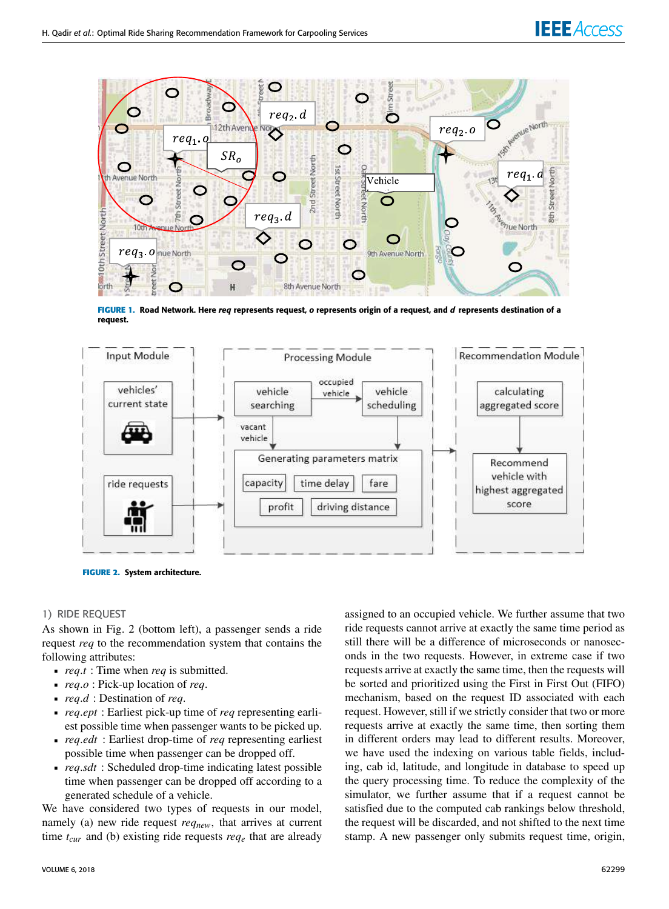# **IEEE** Access



**FIGURE 1.** Road Network. Here req represents request, o represents origin of a request, and d represents destination of a request.



**FIGURE 2.** System architecture.

#### 1) RIDE REQUEST

As shown in Fig. 2 (bottom left), a passenger sends a ride request *req* to the recommendation system that contains the following attributes:

- *req*.*t* : Time when *req* is submitted.
- *req*.*o* : Pick-up location of *req*.
- *req*.*d* : Destination of *req*.
- *req*.*ept* : Earliest pick-up time of *req* representing earliest possible time when passenger wants to be picked up.
- *req*.*edt* : Earliest drop-time of *req* representing earliest possible time when passenger can be dropped off.
- *req*.*sdt* : Scheduled drop-time indicating latest possible time when passenger can be dropped off according to a generated schedule of a vehicle.

We have considered two types of requests in our model, namely (a) new ride request *reqnew*, that arrives at current time  $t_{\text{cur}}$  and (b) existing ride requests  $req_e$  that are already assigned to an occupied vehicle. We further assume that two ride requests cannot arrive at exactly the same time period as still there will be a difference of microseconds or nanoseconds in the two requests. However, in extreme case if two requests arrive at exactly the same time, then the requests will be sorted and prioritized using the First in First Out (FIFO) mechanism, based on the request ID associated with each request. However, still if we strictly consider that two or more requests arrive at exactly the same time, then sorting them in different orders may lead to different results. Moreover, we have used the indexing on various table fields, including, cab id, latitude, and longitude in database to speed up the query processing time. To reduce the complexity of the simulator, we further assume that if a request cannot be satisfied due to the computed cab rankings below threshold, the request will be discarded, and not shifted to the next time stamp. A new passenger only submits request time, origin,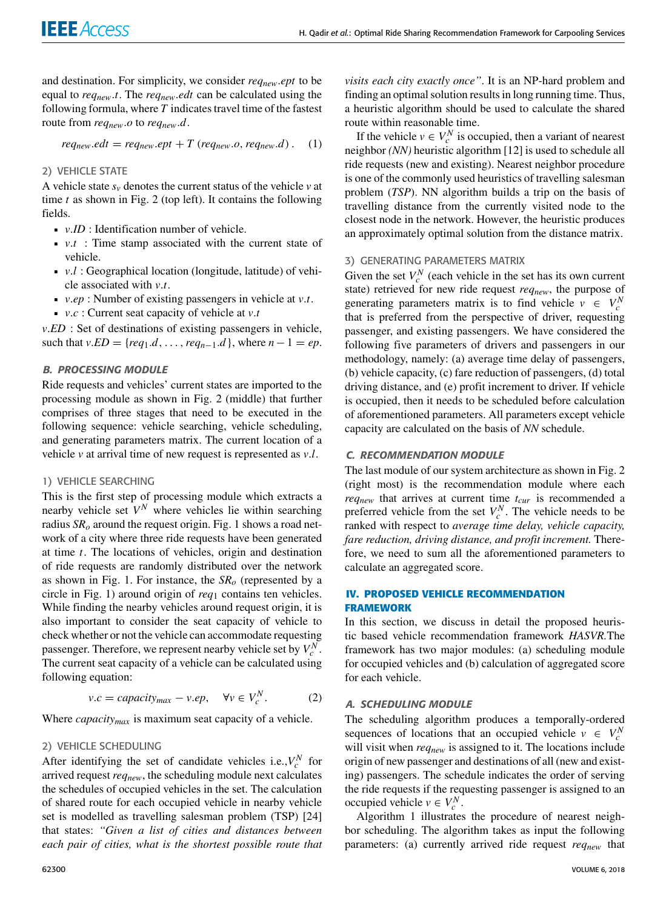and destination. For simplicity, we consider *reqnew*.*ept* to be equal to *reqnew*.*t*. The *reqnew*.*edt* can be calculated using the following formula, where *T* indicates travel time of the fastest route from *reqnew*.*o* to *reqnew*.*d*.

$$
req_{new}.edt = req_{new}.ept + T (req_{new}.o, req_{new}.d).
$$
 (1)

# 2) VEHICLE STATE

A vehicle state  $s<sub>v</sub>$  denotes the current status of the vehicle  $v$  at time *t* as shown in Fig. 2 (top left). It contains the following fields.

- *v*.*ID* : Identification number of vehicle.
- *v*.*t* : Time stamp associated with the current state of vehicle.
- *v*.*l* : Geographical location (longitude, latitude) of vehicle associated with *v*.*t*.
- *v*.*ep* : Number of existing passengers in vehicle at *v*.*t*.
- $\bullet$  *v.c* : Current seat capacity of vehicle at *v.t*

*v*.*ED* : Set of destinations of existing passengers in vehicle, such that  $v.ED = \{req_1.d, ..., req_{n-1}.d\}$ , where  $n - 1 = ep$ .

## B. PROCESSING MODULE

Ride requests and vehicles' current states are imported to the processing module as shown in Fig. 2 (middle) that further comprises of three stages that need to be executed in the following sequence: vehicle searching, vehicle scheduling, and generating parameters matrix. The current location of a vehicle *v* at arrival time of new request is represented as *v*.*l*.

#### 1) VEHICLE SEARCHING

This is the first step of processing module which extracts a nearby vehicle set *V <sup>N</sup>* where vehicles lie within searching radius *SR<sup>o</sup>* around the request origin. Fig. 1 shows a road network of a city where three ride requests have been generated at time *t*. The locations of vehicles, origin and destination of ride requests are randomly distributed over the network as shown in Fig. 1. For instance, the *SR<sup>o</sup>* (represented by a circle in Fig. 1) around origin of *req*<sup>1</sup> contains ten vehicles. While finding the nearby vehicles around request origin, it is also important to consider the seat capacity of vehicle to check whether or not the vehicle can accommodate requesting passenger. Therefore, we represent nearby vehicle set by  $V_c^N$ . The current seat capacity of a vehicle can be calculated using following equation:

$$
v.c = capacity_{max} - v.ep, \quad \forall v \in V_c^N.
$$
 (2)

Where *capacitymax* is maximum seat capacity of a vehicle.

#### 2) VEHICLE SCHEDULING

After identifying the set of candidate vehicles i.e., $V_c^N$  for arrived request *reqnew*, the scheduling module next calculates the schedules of occupied vehicles in the set. The calculation of shared route for each occupied vehicle in nearby vehicle set is modelled as travelling salesman problem (TSP) [24] that states: *''Given a list of cities and distances between each pair of cities, what is the shortest possible route that*

*visits each city exactly once''*. It is an NP-hard problem and finding an optimal solution results in long running time. Thus, a heuristic algorithm should be used to calculate the shared route within reasonable time.

If the vehicle  $v \in V_c^N$  is occupied, then a variant of nearest neighbor *(NN)* heuristic algorithm [12] is used to schedule all ride requests (new and existing). Nearest neighbor procedure is one of the commonly used heuristics of travelling salesman problem (*TSP*). NN algorithm builds a trip on the basis of travelling distance from the currently visited node to the closest node in the network. However, the heuristic produces an approximately optimal solution from the distance matrix.

#### 3) GENERATING PARAMETERS MATRIX

Given the set  $V_c^N$  (each vehicle in the set has its own current state) retrieved for new ride request *reqnew*, the purpose of generating parameters matrix is to find vehicle  $v \in V_c^N$ that is preferred from the perspective of driver, requesting passenger, and existing passengers. We have considered the following five parameters of drivers and passengers in our methodology, namely: (a) average time delay of passengers, (b) vehicle capacity, (c) fare reduction of passengers, (d) total driving distance, and (e) profit increment to driver. If vehicle is occupied, then it needs to be scheduled before calculation of aforementioned parameters. All parameters except vehicle capacity are calculated on the basis of *NN* schedule.

#### C. RECOMMENDATION MODULE

The last module of our system architecture as shown in Fig. 2 (right most) is the recommendation module where each *reqnew* that arrives at current time *tcur* is recommended a preferred vehicle from the set  $V_c^N$ . The vehicle needs to be ranked with respect to *average time delay, vehicle capacity, fare reduction, driving distance, and profit increment.* Therefore, we need to sum all the aforementioned parameters to calculate an aggregated score.

## **IV. PROPOSED VEHICLE RECOMMENDATION FRAMEWORK**

In this section, we discuss in detail the proposed heuristic based vehicle recommendation framework *HASVR.*The framework has two major modules: (a) scheduling module for occupied vehicles and (b) calculation of aggregated score for each vehicle.

#### A. SCHEDULING MODULE

The scheduling algorithm produces a temporally-ordered sequences of locations that an occupied vehicle  $v \in V_c^N$ will visit when *reqnew* is assigned to it. The locations include origin of new passenger and destinations of all (new and existing) passengers. The schedule indicates the order of serving the ride requests if the requesting passenger is assigned to an occupied vehicle  $v \in V_c^N$ .

Algorithm 1 illustrates the procedure of nearest neighbor scheduling. The algorithm takes as input the following parameters: (a) currently arrived ride request *reqnew* that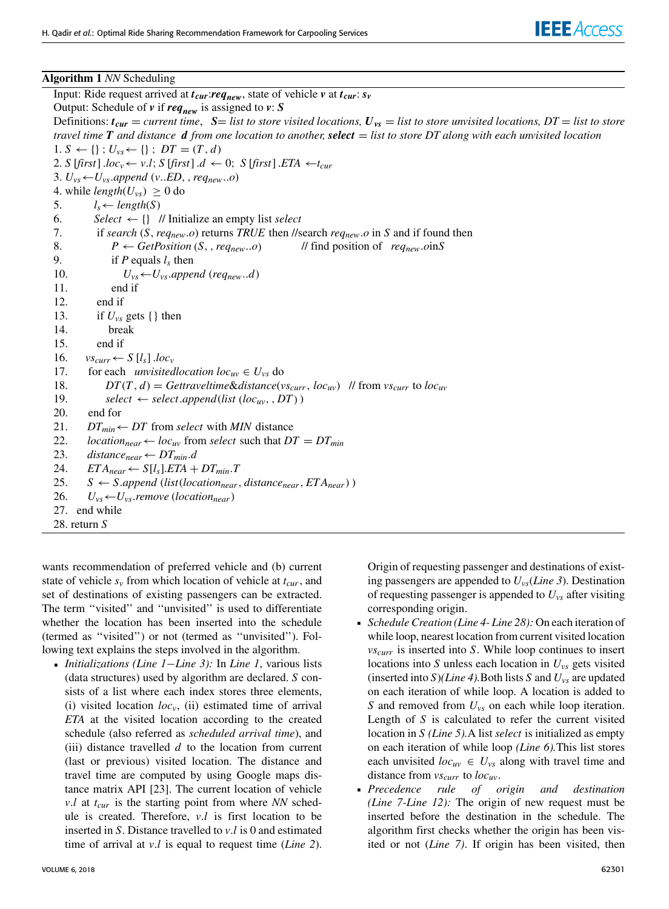#### **Algorithm 1** *NN* Scheduling

Input: Ride request arrived at *tcur*:*reqnew*, state of vehicle *v* at *tcur*: *s<sup>v</sup>* Output: Schedule of *v* if *reqnew* is assigned to *v*: *S* Definitions:  $t_{cur}$  = *current time*,  $S =$  *list to store visited locations,*  $U_{vs}$  = *list to store unvisited locations, DT* = *list to store travel time T and distance d from one location to another, select* = *list to store DT along with each unvisited location*  $1. S \leftarrow \{\}; U_{vs} \leftarrow \{\}; DT = (T, d)$ 2. *S* [*first*] .*loc*<sub>*v*</sub>  $\leftarrow$  *v.l*; *S* [*first*] .*d*  $\leftarrow$  0; *S* [*first*] .*ETA*  $\leftarrow$  *t<sub>cur</sub>* 3.  $U_{vs} \leftarrow U_{vs}.append(v..ED,req_{new}..o)$ 4. while  $length(U_{\nu s}) \geq 0$  do 5.  $l_s \leftarrow length(S)$ 6. *Select*  $\leftarrow \{\}$  // Initialize an empty list *select* 7. if *search* (*S*,*reqnew*.*o*) returns *TRUE* then //search *reqnew*.*o* in *S* and if found then 8. *P* ← *GetPosition* (*S*, , *req<sub>new</sub>*..*o*) // find position of *req<sub>new</sub>*.*o*in*S* 9. if *P* equals  $l_s$  then 10.  $U_{vs} \leftarrow U_{vs}.append\ (req_{new}..d)$ 11. end if 12. end if 13. if  $U_{\nu s}$  gets { } then 14. break 15. end if 16.  $vs_{curr} \leftarrow S[l_s]$  .*loc*<sub>*v*</sub> 17. for each *unvisitedlocation loc<sub>uv</sub>*  $\in U_{\text{vs}}$  do 18. *DT*(*T*, *d*) = *Gettraveltime&distance*( $v s_{curr}$ , *loc<sub>uv</sub>*) // from  $v s_{curr}$  to *loc<sub>uv</sub>* 19. *select*  $\leftarrow$  *select*.*append*(*list* (*loc<sub>uv</sub>*, *DT*)) 20. end for 21. *DT*<sub>min</sub>  $\leftarrow$  *DT* from *select* with *MIN* distance<br>22. *location*<sub>near</sub>  $\leftarrow$  *loc<sub>uv</sub>* from *select* such that *D*  $location_{near} \leftarrow loc_{uv}$  from *select* such that  $DT = DT_{min}$ 23. *distance*<sub>*near*</sub>  $\leftarrow$  *DT*<sub>*min</sub>.<i>d*</sub> 24.  $ETA_{near} \leftarrow S[l_s].ETA + DT_{min}.T$ 25. *S* ← *S.append* (*list*(*location<sub>near</sub>*, *distance*<sub>*near*</sub>, *ETA*<sub>*near*</sub>)) 26.  $U_{vs} \leftarrow U_{vs}.$ *remove* (*location<sub>near</sub>*) 27. end while 28. return *S*

wants recommendation of preferred vehicle and (b) current state of vehicle *s<sup>v</sup>* from which location of vehicle at *tcur*, and set of destinations of existing passengers can be extracted. The term ''visited'' and ''unvisited'' is used to differentiate whether the location has been inserted into the schedule (termed as ''visited'') or not (termed as ''unvisited''). Following text explains the steps involved in the algorithm.

 *Initializations (Line 1*−*Line 3):* In *Line 1*, various lists (data structures) used by algorithm are declared. *S* consists of a list where each index stores three elements, (i) visited location  $loc<sub>v</sub>$ , (ii) estimated time of arrival *ETA* at the visited location according to the created schedule (also referred as *scheduled arrival time*), and (iii) distance travelled *d* to the location from current (last or previous) visited location. The distance and travel time are computed by using Google maps distance matrix API [23]. The current location of vehicle *v*.*l* at *tcur* is the starting point from where *NN* schedule is created. Therefore, *v*.*l* is first location to be inserted in *S*. Distance travelled to *v*.*l* is 0 and estimated time of arrival at *v*.*l* is equal to request time (*Line 2*).

VOLUME 6, 2018 **62301** 

Origin of requesting passenger and destinations of existing passengers are appended to *Uvs*(*Line 3*). Destination of requesting passenger is appended to *Uvs* after visiting corresponding origin.

- *Schedule Creation (Line 4- Line 28):* On each iteration of while loop, nearest location from current visited location *vscurr* is inserted into *S*. While loop continues to insert locations into *S* unless each location in *Uvs* gets visited (inserted into *S*)*(Line 4).*Both lists *S* and *Uvs* are updated on each iteration of while loop. A location is added to *S* and removed from *Uvs* on each while loop iteration. Length of *S* is calculated to refer the current visited location in *S (Line 5).*A list *select* is initialized as empty on each iteration of while loop *(Line 6).*This list stores each unvisited  $loc_{uv} \in U_{vs}$  along with travel time and distance from *vscurr* to *locuv*.
- *Precedence rule of origin and destination (Line 7-Line 12):* The origin of new request must be inserted before the destination in the schedule. The algorithm first checks whether the origin has been visited or not (*Line 7)*. If origin has been visited, then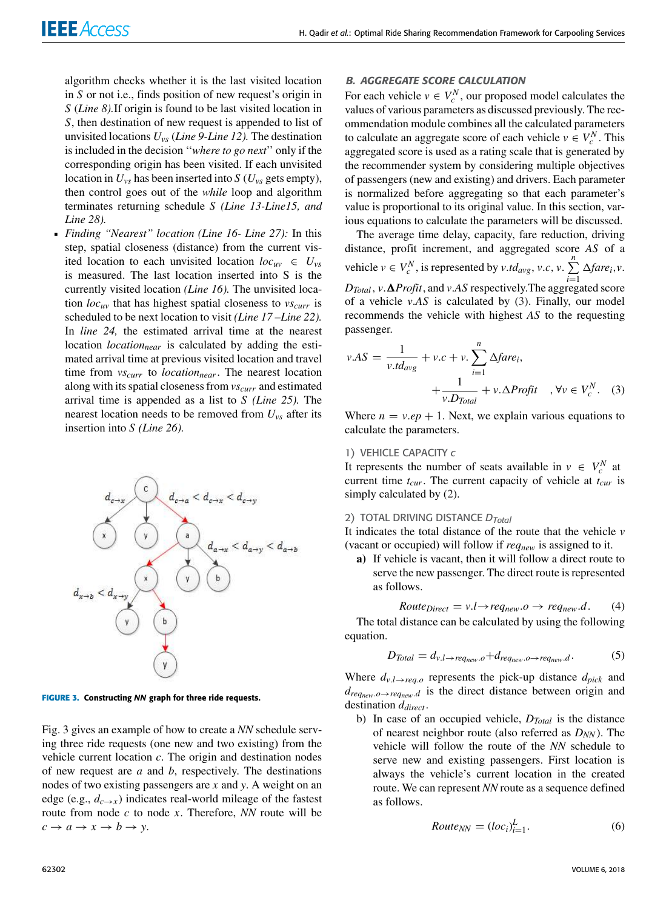algorithm checks whether it is the last visited location in *S* or not i.e., finds position of new request's origin in *S* (*Line 8).*If origin is found to be last visited location in *S*, then destination of new request is appended to list of unvisited locations *Uvs* (*Line 9-Line 12).* The destination is included in the decision ''*where to go next*'' only if the corresponding origin has been visited. If each unvisited location in  $U_{\nu s}$  has been inserted into *S* ( $U_{\nu s}$  gets empty), then control goes out of the *while* loop and algorithm terminates returning schedule *S (Line 13-Line15, and Line 28).*

 *Finding ''Nearest'' location (Line 16- Line 27):* In this step, spatial closeness (distance) from the current visited location to each unvisited location  $loc_{uv} \in U_{vs}$ is measured. The last location inserted into S is the currently visited location *(Line 16).* The unvisited location *locuv* that has highest spatial closeness to *vscurr* is scheduled to be next location to visit *(Line 17 –Line 22).* In *line 24,* the estimated arrival time at the nearest location *locationnear* is calculated by adding the estimated arrival time at previous visited location and travel time from *vscurr* to *locationnear*. The nearest location along with its spatial closeness from *vscurr* and estimated arrival time is appended as a list to *S (Line 25).* The nearest location needs to be removed from *Uvs* after its insertion into *S (Line 26).*



**FIGURE 3.** Constructing NN graph for three ride requests.

Fig. 3 gives an example of how to create a *NN* schedule serving three ride requests (one new and two existing) from the vehicle current location *c*. The origin and destination nodes of new request are *a* and *b*, respectively. The destinations nodes of two existing passengers are *x* and *y*. A weight on an edge (e.g.,  $d_{c \to x}$ ) indicates real-world mileage of the fastest route from node *c* to node *x*. Therefore, *NN* route will be  $c \rightarrow a \rightarrow x \rightarrow b \rightarrow y$ .

#### B. AGGREGATE SCORE CALCULATION

For each vehicle  $v \in V_c^N$ , our proposed model calculates the values of various parameters as discussed previously. The recommendation module combines all the calculated parameters to calculate an aggregate score of each vehicle  $v \in V_c^N$ . This aggregated score is used as a rating scale that is generated by the recommender system by considering multiple objectives of passengers (new and existing) and drivers. Each parameter is normalized before aggregating so that each parameter's value is proportional to its original value. In this section, various equations to calculate the parameters will be discussed.

The average time delay, capacity, fare reduction, driving distance, profit increment, and aggregated score *AS* of a vehicle  $v \in V_c^N$ , is represented by  $v \cdot td_{avg}$ ,  $v.c$ ,  $v \cdot \sum_{n=1}^N$  $\sum_{i=1}$   $\Delta$ *fare*<sub>*i*</sub>,*v*.  $D_{Total}$ ,  $v \cdot \Delta$ *Profit*, and  $v \cdot AS$  respectively. The aggregated score of a vehicle *v*.*AS* is calculated by (3). Finally, our model recommends the vehicle with highest *AS* to the requesting passenger.

$$
v.AS = \frac{1}{v.td_{avg}} + v.c + v. \sum_{i=1}^{n} \Delta fare_i,
$$
  
+ 
$$
\frac{1}{v.D_{Total}} + v.\Delta Profit \quad , \forall v \in V_c^N.
$$
 (3)

Where  $n = v.ep + 1$ . Next, we explain various equations to calculate the parameters.

#### 1) VEHICLE CAPACITY *c*

It represents the number of seats available in  $v \in V_c^N$  at current time *tcur*. The current capacity of vehicle at *tcur* is simply calculated by (2).

#### 2) TOTAL DRIVING DISTANCE *DTotal*

It indicates the total distance of the route that the vehicle *v* (vacant or occupied) will follow if *reqnew* is assigned to it.

**a)** If vehicle is vacant, then it will follow a direct route to serve the new passenger. The direct route is represented as follows.

*RowteDirect* = 
$$
v.l \rightarrow req_{new}.o \rightarrow req_{new}.d
$$
. (4)

The total distance can be calculated by using the following equation.

$$
D_{Total} = d_{v.l \to req_{new}.o} + d_{req_{new}.o \to req_{new}.d}.
$$
 (5)

Where  $d_{v,l\rightarrow req.o}$  represents the pick-up distance  $d_{pick}$  and  $d_{req_{new}.o \rightarrow req_{new}.d}$  is the direct distance between origin and destination *ddirect* .

b) In case of an occupied vehicle, *DTotal* is the distance of nearest neighbor route (also referred as *DNN* ). The vehicle will follow the route of the *NN* schedule to serve new and existing passengers. First location is always the vehicle's current location in the created route. We can represent *NN* route as a sequence defined as follows.

$$
Route_{NN} = (loc_i)_{i=1}^L.
$$
\n(6)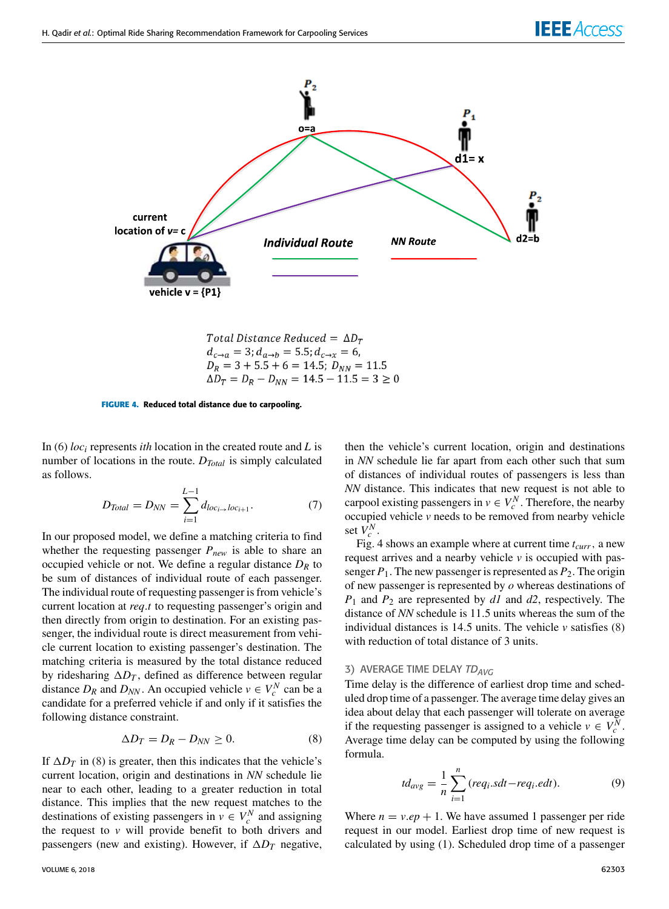

Total Distance Reduced = 
$$
\Delta D_T
$$
  
\n $d_{C\to a} = 3; d_{a\to b} = 5.5; d_{C\to x} = 6,$   
\n $D_R = 3 + 5.5 + 6 = 14.5; D_{NN} = 11.5$   
\n $\Delta D_T = D_R - D_{NN} = 14.5 - 11.5 = 3 \ge 0$ 

**FIGURE 4.** Reduced total distance due to carpooling.

In (6) *loc<sup>i</sup>* represents *ith* location in the created route and *L* is number of locations in the route. *DTotal* is simply calculated as follows.

$$
D_{Total} = D_{NN} = \sum_{i=1}^{L-1} d_{loc_{i\to}loc_{i+1}}.
$$
 (7)

In our proposed model, we define a matching criteria to find whether the requesting passenger *Pnew* is able to share an occupied vehicle or not. We define a regular distance *D<sup>R</sup>* to be sum of distances of individual route of each passenger. The individual route of requesting passenger is from vehicle's current location at *req*.*t* to requesting passenger's origin and then directly from origin to destination. For an existing passenger, the individual route is direct measurement from vehicle current location to existing passenger's destination. The matching criteria is measured by the total distance reduced by ridesharing  $\Delta D_T$ , defined as difference between regular distance  $D_R$  and  $D_{NN}$ . An occupied vehicle  $v \in V_c^N$  can be a candidate for a preferred vehicle if and only if it satisfies the following distance constraint.

$$
\Delta D_T = D_R - D_{NN} \ge 0. \tag{8}
$$

If  $\Delta D_T$  in (8) is greater, then this indicates that the vehicle's current location, origin and destinations in *NN* schedule lie near to each other, leading to a greater reduction in total distance. This implies that the new request matches to the destinations of existing passengers in  $v \in V_c^N$  and assigning the request to *v* will provide benefit to both drivers and passengers (new and existing). However, if  $\Delta D_T$  negative,

then the vehicle's current location, origin and destinations in *NN* schedule lie far apart from each other such that sum of distances of individual routes of passengers is less than *NN* distance. This indicates that new request is not able to carpool existing passengers in  $v \in V_c^N$ . Therefore, the nearby occupied vehicle *v* needs to be removed from nearby vehicle set  $V_c^N$ .

Fig. 4 shows an example where at current time *tcurr*, a new request arrives and a nearby vehicle *v* is occupied with passenger  $P_1$ . The new passenger is represented as  $P_2$ . The origin of new passenger is represented by *o* whereas destinations of *P*<sup>1</sup> and *P*<sup>2</sup> are represented by *d1* and *d2*, respectively. The distance of *NN* schedule is 11.5 units whereas the sum of the individual distances is 14.5 units. The vehicle *v* satisfies (8) with reduction of total distance of 3 units.

# 3) AVERAGE TIME DELAY *TDAVG*

Time delay is the difference of earliest drop time and scheduled drop time of a passenger. The average time delay gives an idea about delay that each passenger will tolerate on average if the requesting passenger is assigned to a vehicle  $v \in V_c^N$ . Average time delay can be computed by using the following formula.

$$
td_{avg} = \frac{1}{n} \sum_{i=1}^{n} (req_i \cdot sdt - req_i \cdot edt).
$$
 (9)

Where  $n = v \cdot ep + 1$ . We have assumed 1 passenger per ride request in our model. Earliest drop time of new request is calculated by using (1). Scheduled drop time of a passenger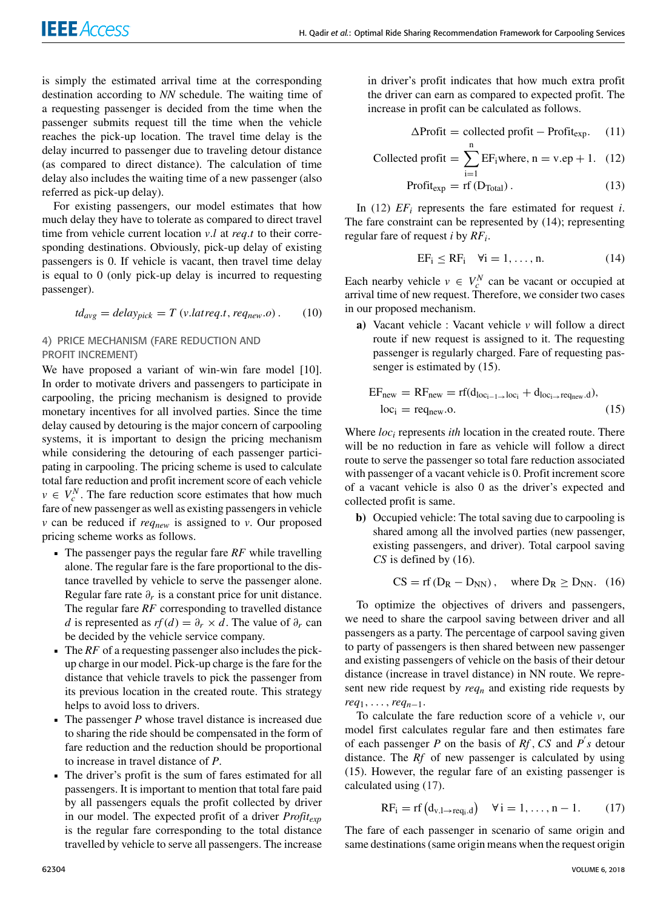is simply the estimated arrival time at the corresponding destination according to *NN* schedule. The waiting time of a requesting passenger is decided from the time when the passenger submits request till the time when the vehicle reaches the pick-up location. The travel time delay is the delay incurred to passenger due to traveling detour distance (as compared to direct distance). The calculation of time delay also includes the waiting time of a new passenger (also referred as pick-up delay).

For existing passengers, our model estimates that how much delay they have to tolerate as compared to direct travel time from vehicle current location *v*.*l* at *req*.*t* to their corresponding destinations. Obviously, pick-up delay of existing passengers is 0. If vehicle is vacant, then travel time delay is equal to 0 (only pick-up delay is incurred to requesting passenger).

$$
td_{avg} = delay_{pick} = T (v. latreq.t, req_{new}.o).
$$
 (10)

# 4) PRICE MECHANISM (FARE REDUCTION AND PROFIT INCREMENT)

We have proposed a variant of win-win fare model [10]. In order to motivate drivers and passengers to participate in carpooling, the pricing mechanism is designed to provide monetary incentives for all involved parties. Since the time delay caused by detouring is the major concern of carpooling systems, it is important to design the pricing mechanism while considering the detouring of each passenger participating in carpooling. The pricing scheme is used to calculate total fare reduction and profit increment score of each vehicle  $v \in V_c^N$ . The fare reduction score estimates that how much fare of new passenger as well as existing passengers in vehicle *v* can be reduced if *reqnew* is assigned to *v*. Our proposed pricing scheme works as follows.

- The passenger pays the regular fare *RF* while travelling alone. The regular fare is the fare proportional to the distance travelled by vehicle to serve the passenger alone. Regular fare rate  $\partial_r$  is a constant price for unit distance. The regular fare *RF* corresponding to travelled distance *d* is represented as  $rf(d) = \partial_r \times d$ . The value of  $\partial_r$  can be decided by the vehicle service company.
- The *RF* of a requesting passenger also includes the pickup charge in our model. Pick-up charge is the fare for the distance that vehicle travels to pick the passenger from its previous location in the created route. This strategy helps to avoid loss to drivers.
- The passenger *P* whose travel distance is increased due to sharing the ride should be compensated in the form of fare reduction and the reduction should be proportional to increase in travel distance of *P*.
- The driver's profit is the sum of fares estimated for all passengers. It is important to mention that total fare paid by all passengers equals the profit collected by driver in our model. The expected profit of a driver *Profitexp* is the regular fare corresponding to the total distance travelled by vehicle to serve all passengers. The increase

in driver's profit indicates that how much extra profit the driver can earn as compared to expected profit. The increase in profit can be calculated as follows.

$$
\Delta \text{Profit} = \text{collected profit} - \text{Profit}_{\text{exp}}. \quad (11)
$$

Collected profit = 
$$
\sum_{i=1}^{n} EF_i
$$
 where, n = v.ep + 1. (12)

$$
Profit_{exp} = rf (D_{Total}). \t(13)
$$

In (12)  $EF_i$  represents the fare estimated for request *i*. The fare constraint can be represented by (14); representing regular fare of request *i* by *RF<sup>i</sup>* .

$$
EF_i \le RF_i \quad \forall i = 1, \dots, n. \tag{14}
$$

Each nearby vehicle  $v \in V_c^N$  can be vacant or occupied at arrival time of new request. Therefore, we consider two cases in our proposed mechanism.

**a)** Vacant vehicle : Vacant vehicle *v* will follow a direct route if new request is assigned to it. The requesting passenger is regularly charged. Fare of requesting passenger is estimated by (15).

$$
EFnew = RFnew = rf(dloci-1→loci + dloci→reqnew.d),
$$
  

$$
loci = reqnew.o.
$$
 (15)

Where *loc<sup>i</sup>* represents *ith* location in the created route. There will be no reduction in fare as vehicle will follow a direct route to serve the passenger so total fare reduction associated with passenger of a vacant vehicle is 0. Profit increment score of a vacant vehicle is also 0 as the driver's expected and collected profit is same.

**b)** Occupied vehicle: The total saving due to carpooling is shared among all the involved parties (new passenger, existing passengers, and driver). Total carpool saving *CS* is defined by (16).

$$
CS = rf (D_R - D_{NN}), \text{ where } D_R \ge D_{NN}. (16)
$$

To optimize the objectives of drivers and passengers, we need to share the carpool saving between driver and all passengers as a party. The percentage of carpool saving given to party of passengers is then shared between new passenger and existing passengers of vehicle on the basis of their detour distance (increase in travel distance) in NN route. We represent new ride request by *req<sup>n</sup>* and existing ride requests by *req*1, . . . ,*reqn*−1.

To calculate the fare reduction score of a vehicle *v*, our model first calculates regular fare and then estimates fare of each passenger *P* on the basis of  $Rf$ , *CS* and  $P'$ s detour distance. The *Rf* of new passenger is calculated by using (15). However, the regular fare of an existing passenger is calculated using (17).

$$
RF_i = rf(d_{v,l\rightarrow req_i.d}) \quad \forall i = 1,\ldots,n-1. \tag{17}
$$

The fare of each passenger in scenario of same origin and same destinations (same origin means when the request origin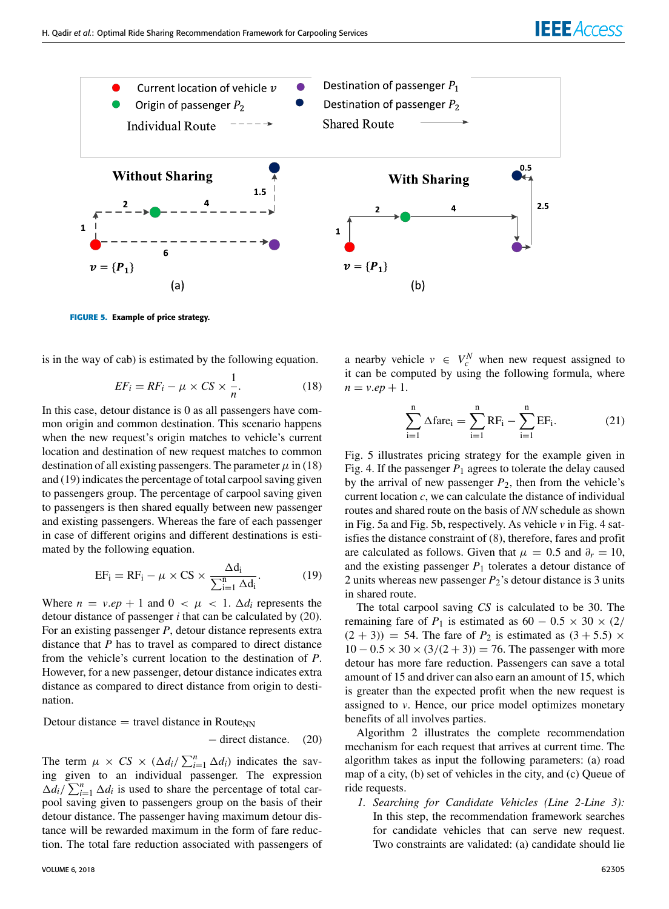

**FIGURE 5.** Example of price strategy.

is in the way of cab) is estimated by the following equation.

$$
EF_i = RF_i - \mu \times CS \times \frac{1}{n}.
$$
 (18)

In this case, detour distance is 0 as all passengers have common origin and common destination. This scenario happens when the new request's origin matches to vehicle's current location and destination of new request matches to common destination of all existing passengers. The parameter  $\mu$  in (18) and (19) indicates the percentage of total carpool saving given to passengers group. The percentage of carpool saving given to passengers is then shared equally between new passenger and existing passengers. Whereas the fare of each passenger in case of different origins and different destinations is estimated by the following equation.

$$
EF_{i} = RF_{i} - \mu \times CS \times \frac{\Delta d_{i}}{\sum_{i=1}^{n} \Delta d_{i}}.
$$
 (19)

Where  $n = v.ep + 1$  and  $0 < \mu < 1$ .  $\Delta d_i$  represents the detour distance of passenger *i* that can be calculated by (20). For an existing passenger *P*, detour distance represents extra distance that *P* has to travel as compared to direct distance from the vehicle's current location to the destination of *P*. However, for a new passenger, detour distance indicates extra distance as compared to direct distance from origin to destination.

$$
Detour distance = travel distance in RouteNN - direct distance. (20)
$$

The term  $\mu \times CS \times (\Delta d_i / \sum_{i=1}^n \Delta d_i)$  indicates the saving given to an individual passenger. The expression  $\Delta d_i / \sum_{i=1}^n \Delta d_i$  is used to share the percentage of total carpool saving given to passengers group on the basis of their detour distance. The passenger having maximum detour distance will be rewarded maximum in the form of fare reduction. The total fare reduction associated with passengers of

a nearby vehicle  $v \in V_c^N$  when new request assigned to it can be computed by using the following formula, where  $n = v \cdot ep + 1$ .

$$
\sum_{i=1}^{n} \Delta \text{fare}_{i} = \sum_{i=1}^{n} RF_{i} - \sum_{i=1}^{n} EF_{i}.
$$
 (21)

Fig. 5 illustrates pricing strategy for the example given in Fig. 4. If the passenger  $P_1$  agrees to tolerate the delay caused by the arrival of new passenger *P*2, then from the vehicle's current location *c*, we can calculate the distance of individual routes and shared route on the basis of *NN* schedule as shown in Fig. 5a and Fig. 5b, respectively. As vehicle *v* in Fig. 4 satisfies the distance constraint of (8), therefore, fares and profit are calculated as follows. Given that  $\mu = 0.5$  and  $\partial_r = 10$ , and the existing passenger  $P_1$  tolerates a detour distance of 2 units whereas new passenger *P*2's detour distance is 3 units in shared route.

The total carpool saving *CS* is calculated to be 30. The remaining fare of *P*<sub>1</sub> is estimated as  $60 - 0.5 \times 30 \times (2)$  $(2 + 3)$  = 54. The fare of  $P_2$  is estimated as  $(3 + 5.5) \times$  $10 - 0.5 \times 30 \times (3/(2+3)) = 76$ . The passenger with more detour has more fare reduction. Passengers can save a total amount of 15 and driver can also earn an amount of 15, which is greater than the expected profit when the new request is assigned to *v*. Hence, our price model optimizes monetary benefits of all involves parties.

Algorithm 2 illustrates the complete recommendation mechanism for each request that arrives at current time. The algorithm takes as input the following parameters: (a) road map of a city, (b) set of vehicles in the city, and (c) Queue of ride requests.

*1. Searching for Candidate Vehicles (Line 2-Line 3):* In this step, the recommendation framework searches for candidate vehicles that can serve new request. Two constraints are validated: (a) candidate should lie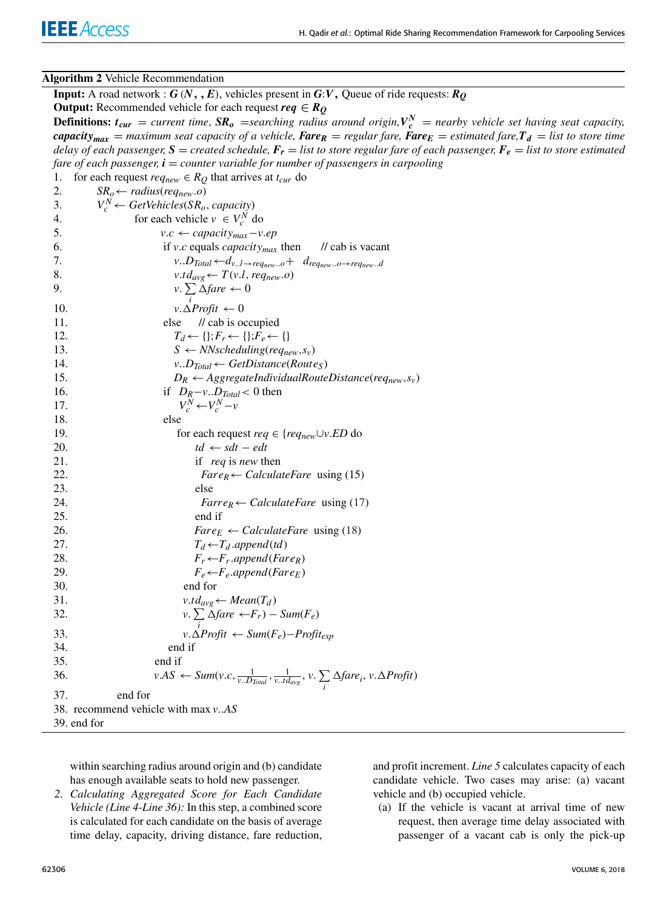#### **Algorithm 2** Vehicle Recommendation

**Input:** A road network :  $G(N, E)$ , vehicles present in  $G:V$ , Queue of ride requests:  $R_0$ **Output:** Recommended vehicle for each request  $req \in R_Q$ **Definitions:**  $t_{cur}$  = *current time*,  $SR_o$  = *searching radius around origin*, $V_c^N$  = *nearby vehicle set having seat capacity*, *capacity*<sub>max</sub> = *maximum seat capacity of a vehicle, Fare<sub><i>R*</sub> = *regular fare*, **Fare**<sub>*E*</sub> = *estimated fare*,  $T_d$  = *list to store time delay of each passenger,*  $S =$  *created schedule,*  $F_r =$  *list to store regular fare of each passenger,*  $F_e =$  *list to store estimated fare of each passenger, i* = *counter variable for number of passengers in carpooling* 1. for each request  $req_{new} \in R_Q$  that arrives at  $t_{cur}$  do 2.  $SR_o \leftarrow radius(req_{new}.o)$ 3.  $V_c^N \leftarrow GetVehicles(SR_o, capacity)$ 4. for each vehicle  $v \in V_c^N$  do 5. *v.c* ← *capacity<sub>max</sub>* $-$ *v.ep* 6. if *v*.*c* equals *capacitymax* then // cab is vacant 7.  $v \cdot D_{Total} \leftarrow d_{v \cdot l} \rightarrow \text{req}_{new \cdot \cdot o} + d_{\text{req}_{new} \cdot \cdot o} \rightarrow \text{req}_{new} \cdot d$ 8.  $v.td_{avg} \leftarrow T(v.l, req_{new}.o)$ 9. *v*.  $\sum \Delta$ *fare*  $\leftarrow 0$ 10.  $v.\Delta$ Profit  $\leftarrow 0$ 11. else // cab is occupied 12.  $T_d \leftarrow \{\}; F_r \leftarrow \{\}; F_e \leftarrow \{\}$ 13.  $S \leftarrow NNscheduling(req_{new}, s_v)$ 14. *v*..*DTotal*← *GetDistance*(*Route<sup>S</sup>* ) 15.  $D_R \leftarrow AggregationdividualRouteDistance(req_{new}, s_v)$ 16. if *DR*−*v*..*DTotal*< 0 then 17. *V*  $V_c^N$  ←  $V_c^N$  − *v* 18. else 19. for each request  $req \in \{req_{new} \cup v. ED \text{ do}\}$ 20.  $td \leftarrow sdt - edt$ 21. if *req* is *new* then 22. *FareR*← *CalculateFare* using (15) 23. else 24. *FarreR*← *CalculateFare* using (17) 25. end if 26. *Fare*<sub>*E*</sub> ← *CalculateFare* using (18) 27.  $T_d \leftarrow T_d$  .*append*(*td*) 28.  $F_r \leftarrow F_r.append(Fare_R)$ 29.  $F_e \leftarrow F_e.append(Fare_F)$ 30. end for 31.  $v.td_{avg} \leftarrow Mean(T_d)$ 32.  $v.$  $\sum \Delta$ *fare*  $\leftarrow$ *F*<sub>*r*</sub> $) - Sum(F_e)$ *i* 33. *v*.1*Profit* ← *Sum*(*Fe*)−*Profitexp* 34. end if 35. end if 36. *v.AS*  $\leftarrow$  *Sum*(*v.c*,  $\frac{1}{v.D_{Total}}$ ,  $\frac{1}{v.d_{avg}}$ , *v.*  $\sum$  $\sum_{i} \Delta \text{fare}_i, \, v. \Delta \text{Profit}$ 37. end for 38. recommend vehicle with max *v*..*AS* 39. end for

within searching radius around origin and (b) candidate has enough available seats to hold new passenger.

*2. Calculating Aggregated Score for Each Candidate Vehicle (Line 4-Line 36):* In this step, a combined score is calculated for each candidate on the basis of average time delay, capacity, driving distance, fare reduction,

and profit increment. *Line 5* calculates capacity of each candidate vehicle. Two cases may arise: (a) vacant vehicle and (b) occupied vehicle.

(a) If the vehicle is vacant at arrival time of new request, then average time delay associated with passenger of a vacant cab is only the pick-up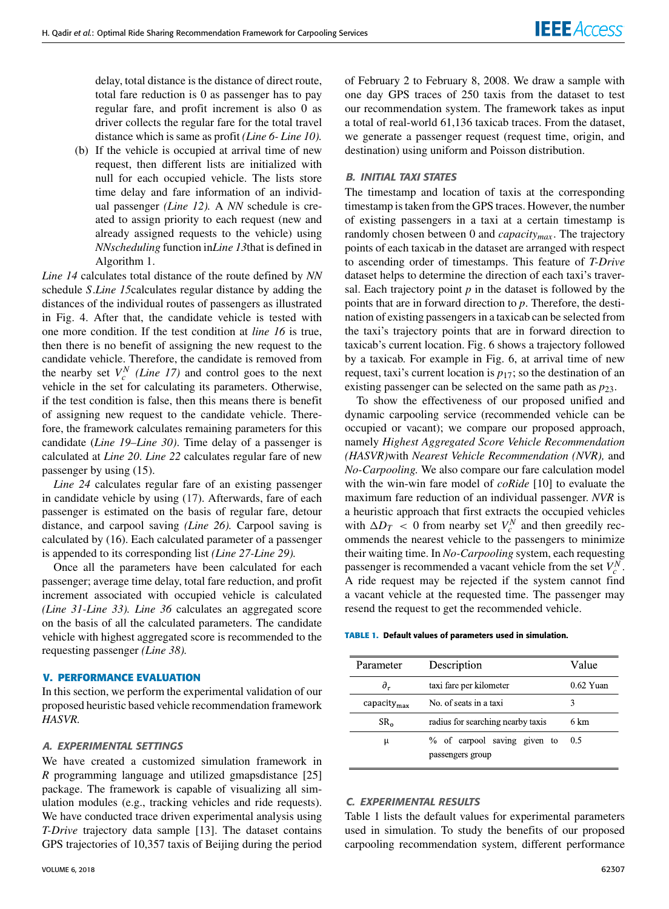delay, total distance is the distance of direct route, total fare reduction is 0 as passenger has to pay regular fare, and profit increment is also 0 as driver collects the regular fare for the total travel distance which is same as profit *(Line 6- Line 10).*

(b) If the vehicle is occupied at arrival time of new request, then different lists are initialized with null for each occupied vehicle. The lists store time delay and fare information of an individual passenger *(Line 12).* A *NN* schedule is created to assign priority to each request (new and already assigned requests to the vehicle) using *NNscheduling* function in*Line 13*that is defined in Algorithm 1.

*Line 14* calculates total distance of the route defined by *NN* schedule *S*.*Line 15*calculates regular distance by adding the distances of the individual routes of passengers as illustrated in Fig. 4. After that, the candidate vehicle is tested with one more condition. If the test condition at *line 16* is true, then there is no benefit of assigning the new request to the candidate vehicle. Therefore, the candidate is removed from the nearby set  $V_c^N$  (*Line 17*) and control goes to the next vehicle in the set for calculating its parameters. Otherwise, if the test condition is false, then this means there is benefit of assigning new request to the candidate vehicle. Therefore, the framework calculates remaining parameters for this candidate (*Line 19–Line 30)*. Time delay of a passenger is calculated at *Line 20*. *Line 22* calculates regular fare of new passenger by using (15).

*Line 24* calculates regular fare of an existing passenger in candidate vehicle by using (17). Afterwards, fare of each passenger is estimated on the basis of regular fare, detour distance, and carpool saving *(Line 26).* Carpool saving is calculated by (16). Each calculated parameter of a passenger is appended to its corresponding list *(Line 27-Line 29).*

Once all the parameters have been calculated for each passenger; average time delay, total fare reduction, and profit increment associated with occupied vehicle is calculated *(Line 31-Line 33). Line 36* calculates an aggregated score on the basis of all the calculated parameters. The candidate vehicle with highest aggregated score is recommended to the requesting passenger *(Line 38).*

#### **V. PERFORMANCE EVALUATION**

In this section, we perform the experimental validation of our proposed heuristic based vehicle recommendation framework *HASVR.*

# A. EXPERIMENTAL SETTINGS

We have created a customized simulation framework in *R* programming language and utilized gmapsdistance [25] package. The framework is capable of visualizing all simulation modules (e.g., tracking vehicles and ride requests). We have conducted trace driven experimental analysis using *T-Drive* trajectory data sample [13]. The dataset contains GPS trajectories of 10,357 taxis of Beijing during the period

of February 2 to February 8, 2008. We draw a sample with one day GPS traces of 250 taxis from the dataset to test our recommendation system. The framework takes as input a total of real-world 61,136 taxicab traces. From the dataset, we generate a passenger request (request time, origin, and destination) using uniform and Poisson distribution.

#### B. INITIAL TAXI STATES

The timestamp and location of taxis at the corresponding timestamp is taken from the GPS traces. However, the number of existing passengers in a taxi at a certain timestamp is randomly chosen between 0 and *capacitymax* . The trajectory points of each taxicab in the dataset are arranged with respect to ascending order of timestamps. This feature of *T-Drive* dataset helps to determine the direction of each taxi's traversal. Each trajectory point  $p$  in the dataset is followed by the points that are in forward direction to *p*. Therefore, the destination of existing passengers in a taxicab can be selected from the taxi's trajectory points that are in forward direction to taxicab's current location. Fig. 6 shows a trajectory followed by a taxicab. For example in Fig. 6, at arrival time of new request, taxi's current location is *p*17; so the destination of an existing passenger can be selected on the same path as  $p_{23}$ .

To show the effectiveness of our proposed unified and dynamic carpooling service (recommended vehicle can be occupied or vacant); we compare our proposed approach, namely *Highest Aggregated Score Vehicle Recommendation (HASVR)*with *Nearest Vehicle Recommendation (NVR),* and *No-Carpooling.* We also compare our fare calculation model with the win-win fare model of *coRide* [10] to evaluate the maximum fare reduction of an individual passenger. *NVR* is a heuristic approach that first extracts the occupied vehicles with  $\Delta D_T < 0$  from nearby set  $V_c^N$  and then greedily recommends the nearest vehicle to the passengers to minimize their waiting time. In *No-Carpooling* system, each requesting passenger is recommended a vacant vehicle from the set  $V_c^N$ . A ride request may be rejected if the system cannot find a vacant vehicle at the requested time. The passenger may resend the request to get the recommended vehicle.

**TABLE 1.** Default values of parameters used in simulation.

| Parameter                | Description                                      | Value       |
|--------------------------|--------------------------------------------------|-------------|
| $\partial_r$             | taxi fare per kilometer                          | $0.62$ Yuan |
| capacity $_{\text{max}}$ | No. of seats in a taxi                           | 3           |
| SR <sub>o</sub>          | radius for searching nearby taxis                | 6 km        |
| μ                        | % of carpool saving given to<br>passengers group | 0.5         |

#### C. EXPERIMENTAL RESULTS

Table 1 lists the default values for experimental parameters used in simulation. To study the benefits of our proposed carpooling recommendation system, different performance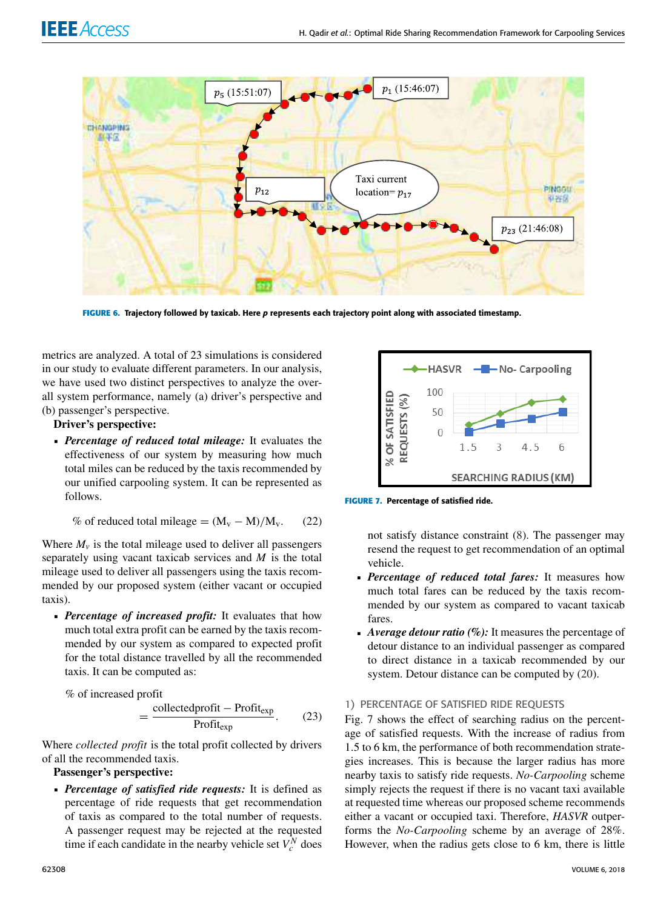

**FIGURE 6.** Trajectory followed by taxicab. Here p represents each trajectory point along with associated timestamp.

metrics are analyzed. A total of 23 simulations is considered in our study to evaluate different parameters. In our analysis, we have used two distinct perspectives to analyze the overall system performance, namely (a) driver's perspective and (b) passenger's perspective.

# **Driver's perspective:**

 *Percentage of reduced total mileage:* It evaluates the effectiveness of our system by measuring how much total miles can be reduced by the taxis recommended by our unified carpooling system. It can be represented as follows.

% of reduced total mileage =  $(M_v - M)/M_v$ . (22)

Where  $M<sub>v</sub>$  is the total mileage used to deliver all passengers separately using vacant taxicab services and *M* is the total mileage used to deliver all passengers using the taxis recommended by our proposed system (either vacant or occupied taxis).

 *Percentage of increased profit:* It evaluates that how much total extra profit can be earned by the taxis recommended by our system as compared to expected profit for the total distance travelled by all the recommended taxis. It can be computed as:

% of increased profit

$$
= \frac{\text{collectedprofit} - \text{Profit}_{\text{exp}}}{\text{Profit}_{\text{exp}}}.
$$
 (23)

Where *collected profit* is the total profit collected by drivers of all the recommended taxis.

- **Passenger's perspective:**
- *Percentage of satisfied ride requests:* It is defined as percentage of ride requests that get recommendation of taxis as compared to the total number of requests. A passenger request may be rejected at the requested time if each candidate in the nearby vehicle set  $V_c^N$  does



**FIGURE 7.** Percentage of satisfied ride.

not satisfy distance constraint (8). The passenger may resend the request to get recommendation of an optimal vehicle.

- *Percentage of reduced total fares:* It measures how much total fares can be reduced by the taxis recommended by our system as compared to vacant taxicab fares.
- *Average detour ratio (%):* It measures the percentage of detour distance to an individual passenger as compared to direct distance in a taxicab recommended by our system. Detour distance can be computed by (20).

# 1) PERCENTAGE OF SATISFIED RIDE REQUESTS

Fig. 7 shows the effect of searching radius on the percentage of satisfied requests. With the increase of radius from 1.5 to 6 km, the performance of both recommendation strategies increases. This is because the larger radius has more nearby taxis to satisfy ride requests. *No-Carpooling* scheme simply rejects the request if there is no vacant taxi available at requested time whereas our proposed scheme recommends either a vacant or occupied taxi. Therefore, *HASVR* outperforms the *No-Carpooling* scheme by an average of 28%. However, when the radius gets close to 6 km, there is little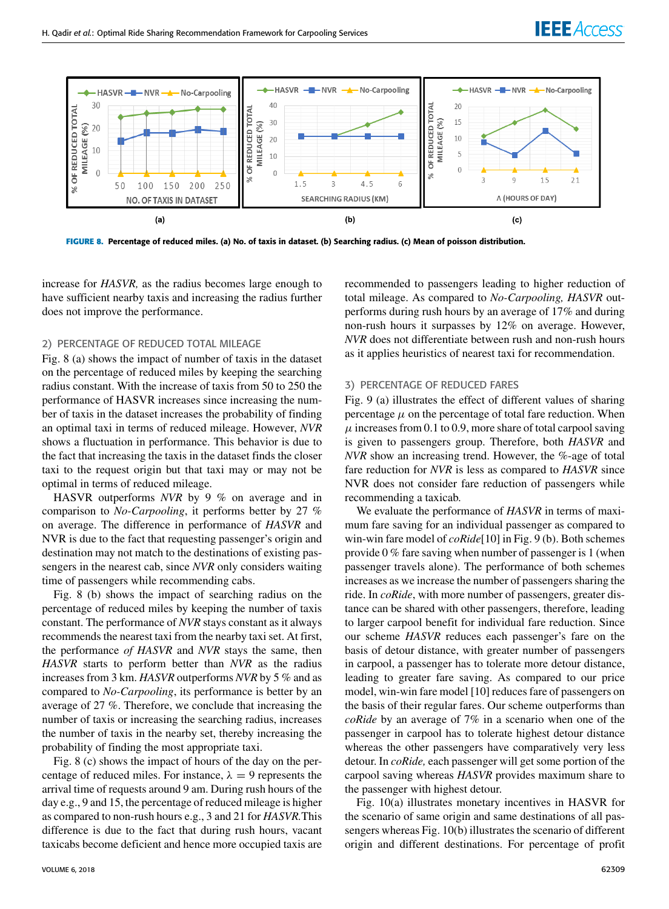



**FIGURE 8.** Percentage of reduced miles. (a) No. of taxis in dataset. (b) Searching radius. (c) Mean of poisson distribution.

increase for *HASVR,* as the radius becomes large enough to have sufficient nearby taxis and increasing the radius further does not improve the performance.

#### 2) PERCENTAGE OF REDUCED TOTAL MILEAGE

Fig. 8 (a) shows the impact of number of taxis in the dataset on the percentage of reduced miles by keeping the searching radius constant. With the increase of taxis from 50 to 250 the performance of HASVR increases since increasing the number of taxis in the dataset increases the probability of finding an optimal taxi in terms of reduced mileage. However, *NVR* shows a fluctuation in performance. This behavior is due to the fact that increasing the taxis in the dataset finds the closer taxi to the request origin but that taxi may or may not be optimal in terms of reduced mileage.

HASVR outperforms *NVR* by 9 % on average and in comparison to *No-Carpooling*, it performs better by 27 % on average. The difference in performance of *HASVR* and NVR is due to the fact that requesting passenger's origin and destination may not match to the destinations of existing passengers in the nearest cab, since *NVR* only considers waiting time of passengers while recommending cabs.

Fig. 8 (b) shows the impact of searching radius on the percentage of reduced miles by keeping the number of taxis constant. The performance of *NVR* stays constant as it always recommends the nearest taxi from the nearby taxi set. At first, the performance *of HASVR* and *NVR* stays the same, then *HASVR* starts to perform better than *NVR* as the radius increases from 3 km. *HASVR* outperforms *NVR* by 5 % and as compared to *No-Carpooling*, its performance is better by an average of 27 %. Therefore, we conclude that increasing the number of taxis or increasing the searching radius, increases the number of taxis in the nearby set, thereby increasing the probability of finding the most appropriate taxi.

Fig. 8 (c) shows the impact of hours of the day on the percentage of reduced miles. For instance,  $\lambda = 9$  represents the arrival time of requests around 9 am. During rush hours of the day e.g., 9 and 15, the percentage of reduced mileage is higher as compared to non-rush hours e.g., 3 and 21 for *HASVR.*This difference is due to the fact that during rush hours, vacant taxicabs become deficient and hence more occupied taxis are

recommended to passengers leading to higher reduction of total mileage. As compared to *No-Carpooling, HASVR* outperforms during rush hours by an average of 17% and during non-rush hours it surpasses by 12% on average. However, *NVR* does not differentiate between rush and non-rush hours as it applies heuristics of nearest taxi for recommendation.

#### 3) PERCENTAGE OF REDUCED FARES

Fig. 9 (a) illustrates the effect of different values of sharing percentage  $\mu$  on the percentage of total fare reduction. When  $\mu$  increases from 0.1 to 0.9, more share of total carpool saving is given to passengers group. Therefore, both *HASVR* and *NVR* show an increasing trend. However, the %-age of total fare reduction for *NVR* is less as compared to *HASVR* since NVR does not consider fare reduction of passengers while recommending a taxicab.

We evaluate the performance of *HASVR* in terms of maximum fare saving for an individual passenger as compared to win-win fare model of *coRide*[10] in Fig. 9 (b). Both schemes provide 0 % fare saving when number of passenger is 1 (when passenger travels alone). The performance of both schemes increases as we increase the number of passengers sharing the ride. In *coRide*, with more number of passengers, greater distance can be shared with other passengers, therefore, leading to larger carpool benefit for individual fare reduction. Since our scheme *HASVR* reduces each passenger's fare on the basis of detour distance, with greater number of passengers in carpool, a passenger has to tolerate more detour distance, leading to greater fare saving. As compared to our price model, win-win fare model [10] reduces fare of passengers on the basis of their regular fares. Our scheme outperforms than *coRide* by an average of 7% in a scenario when one of the passenger in carpool has to tolerate highest detour distance whereas the other passengers have comparatively very less detour. In *coRide,* each passenger will get some portion of the carpool saving whereas *HASVR* provides maximum share to the passenger with highest detour.

Fig. 10(a) illustrates monetary incentives in HASVR for the scenario of same origin and same destinations of all passengers whereas Fig. 10(b) illustrates the scenario of different origin and different destinations. For percentage of profit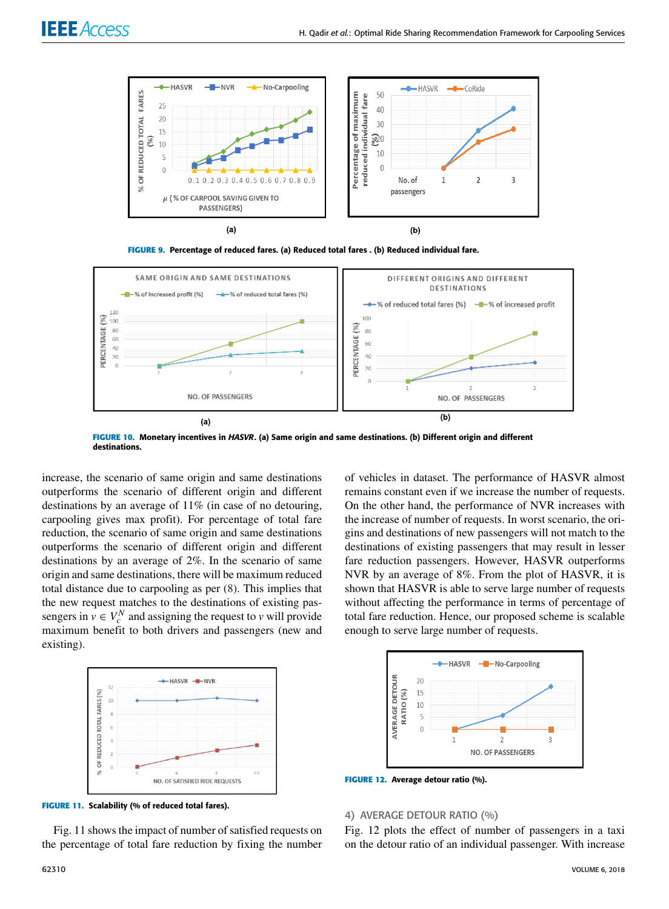





**FIGURE 10.** Monetary incentives in HASVR. (a) Same origin and same destinations. (b) Different origin and different destinations.

increase, the scenario of same origin and same destinations outperforms the scenario of different origin and different destinations by an average of 11% (in case of no detouring, carpooling gives max profit). For percentage of total fare reduction, the scenario of same origin and same destinations outperforms the scenario of different origin and different destinations by an average of 2%. In the scenario of same origin and same destinations, there will be maximum reduced total distance due to carpooling as per (8). This implies that the new request matches to the destinations of existing passengers in  $v \in V_c^N$  and assigning the request to *v* will provide maximum benefit to both drivers and passengers (new and existing).



of vehicles in dataset. The performance of HASVR almost remains constant even if we increase the number of requests. On the other hand, the performance of NVR increases with the increase of number of requests. In worst scenario, the origins and destinations of new passengers will not match to the destinations of existing passengers that may result in lesser fare reduction passengers. However, HASVR outperforms NVR by an average of 8%. From the plot of HASVR, it is shown that HASVR is able to serve large number of requests without affecting the performance in terms of percentage of total fare reduction. Hence, our proposed scheme is scalable enough to serve large number of requests.



**FIGURE 12.** Average detour ratio (%).

#### **FIGURE 11.** Scalability (% of reduced total fares).

Fig. 11 shows the impact of number of satisfied requests on the percentage of total fare reduction by fixing the number

# 4) AVERAGE DETOUR RATIO (%)

Fig. 12 plots the effect of number of passengers in a taxi on the detour ratio of an individual passenger. With increase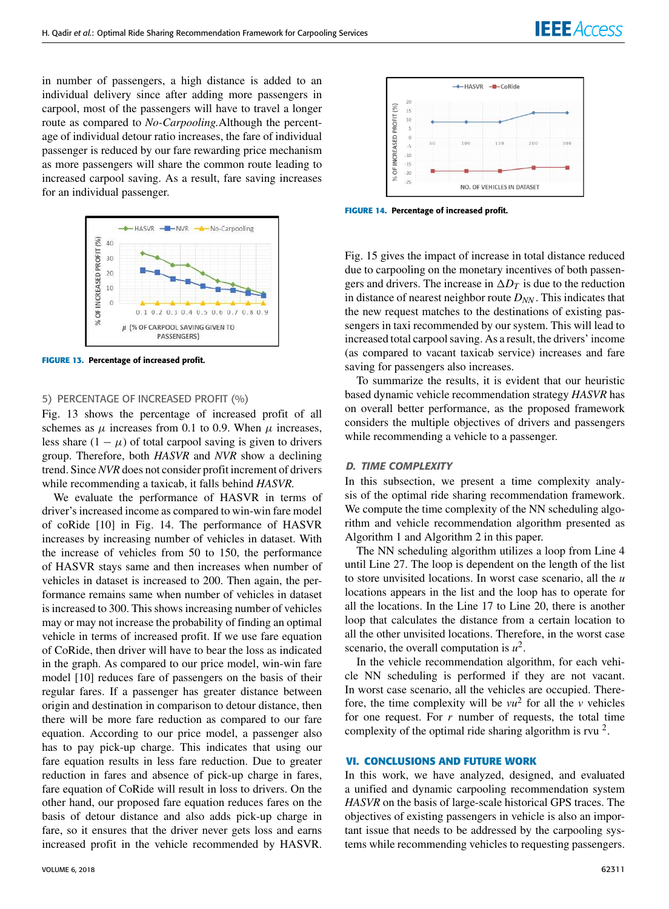in number of passengers, a high distance is added to an individual delivery since after adding more passengers in carpool, most of the passengers will have to travel a longer route as compared to *No-Carpooling.*Although the percentage of individual detour ratio increases, the fare of individual passenger is reduced by our fare rewarding price mechanism as more passengers will share the common route leading to increased carpool saving. As a result, fare saving increases for an individual passenger.



**FIGURE 13.** Percentage of increased profit.

#### 5) PERCENTAGE OF INCREASED PROFIT (%)

Fig. 13 shows the percentage of increased profit of all schemes as  $\mu$  increases from 0.1 to 0.9. When  $\mu$  increases, less share  $(1 - \mu)$  of total carpool saving is given to drivers group. Therefore, both *HASVR* and *NVR* show a declining trend. Since *NVR* does not consider profit increment of drivers while recommending a taxicab, it falls behind *HASVR.*

We evaluate the performance of HASVR in terms of driver's increased income as compared to win-win fare model of coRide [10] in Fig. 14. The performance of HASVR increases by increasing number of vehicles in dataset. With the increase of vehicles from 50 to 150, the performance of HASVR stays same and then increases when number of vehicles in dataset is increased to 200. Then again, the performance remains same when number of vehicles in dataset is increased to 300. This shows increasing number of vehicles may or may not increase the probability of finding an optimal vehicle in terms of increased profit. If we use fare equation of CoRide, then driver will have to bear the loss as indicated in the graph. As compared to our price model, win-win fare model [10] reduces fare of passengers on the basis of their regular fares. If a passenger has greater distance between origin and destination in comparison to detour distance, then there will be more fare reduction as compared to our fare equation. According to our price model, a passenger also has to pay pick-up charge. This indicates that using our fare equation results in less fare reduction. Due to greater reduction in fares and absence of pick-up charge in fares, fare equation of CoRide will result in loss to drivers. On the other hand, our proposed fare equation reduces fares on the basis of detour distance and also adds pick-up charge in fare, so it ensures that the driver never gets loss and earns increased profit in the vehicle recommended by HASVR.



**FIGURE 14.** Percentage of increased profit.

Fig. 15 gives the impact of increase in total distance reduced due to carpooling on the monetary incentives of both passengers and drivers. The increase in  $\Delta D_T$  is due to the reduction in distance of nearest neighbor route *DNN* . This indicates that the new request matches to the destinations of existing passengers in taxi recommended by our system. This will lead to increased total carpool saving. As a result, the drivers' income (as compared to vacant taxicab service) increases and fare saving for passengers also increases.

To summarize the results, it is evident that our heuristic based dynamic vehicle recommendation strategy *HASVR* has on overall better performance, as the proposed framework considers the multiple objectives of drivers and passengers while recommending a vehicle to a passenger.

#### D. TIME COMPLEXITY

In this subsection, we present a time complexity analysis of the optimal ride sharing recommendation framework. We compute the time complexity of the NN scheduling algorithm and vehicle recommendation algorithm presented as Algorithm 1 and Algorithm 2 in this paper.

The NN scheduling algorithm utilizes a loop from Line 4 until Line 27. The loop is dependent on the length of the list to store unvisited locations. In worst case scenario, all the *u* locations appears in the list and the loop has to operate for all the locations. In the Line 17 to Line 20, there is another loop that calculates the distance from a certain location to all the other unvisited locations. Therefore, in the worst case scenario, the overall computation is  $u^2$ .

In the vehicle recommendation algorithm, for each vehicle NN scheduling is performed if they are not vacant. In worst case scenario, all the vehicles are occupied. Therefore, the time complexity will be  $vu^2$  for all the  $v$  vehicles for one request. For  $r$  number of requests, the total time complexity of the optimal ride sharing algorithm is rvu  $2$ .

#### **VI. CONCLUSIONS AND FUTURE WORK**

In this work, we have analyzed, designed, and evaluated a unified and dynamic carpooling recommendation system *HASVR* on the basis of large-scale historical GPS traces. The objectives of existing passengers in vehicle is also an important issue that needs to be addressed by the carpooling systems while recommending vehicles to requesting passengers.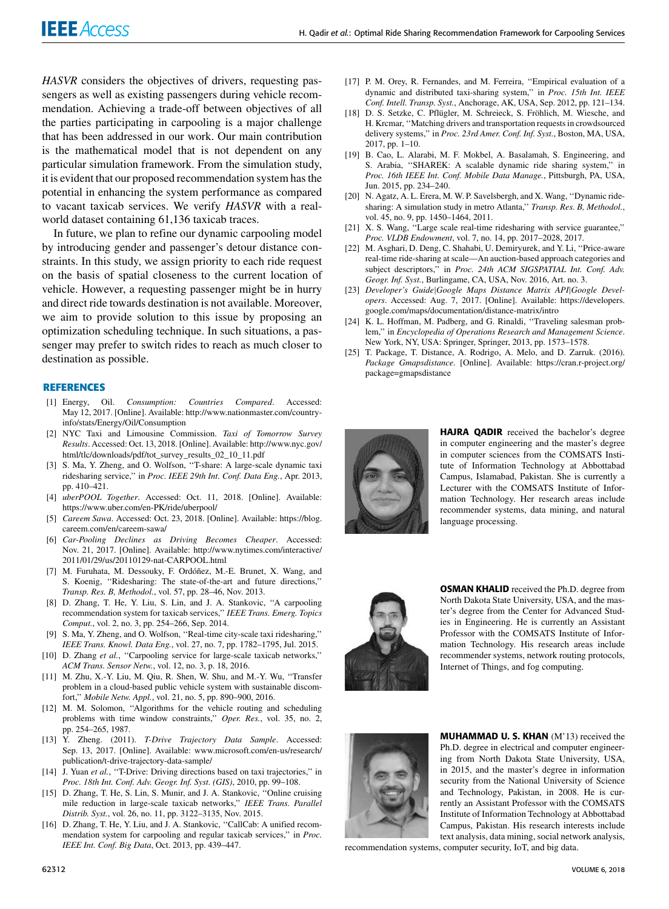*HASVR* considers the objectives of drivers, requesting passengers as well as existing passengers during vehicle recommendation. Achieving a trade-off between objectives of all the parties participating in carpooling is a major challenge that has been addressed in our work. Our main contribution is the mathematical model that is not dependent on any particular simulation framework. From the simulation study, it is evident that our proposed recommendation system has the potential in enhancing the system performance as compared to vacant taxicab services. We verify *HASVR* with a realworld dataset containing 61,136 taxicab traces.

In future, we plan to refine our dynamic carpooling model by introducing gender and passenger's detour distance constraints. In this study, we assign priority to each ride request on the basis of spatial closeness to the current location of vehicle. However, a requesting passenger might be in hurry and direct ride towards destination is not available. Moreover, we aim to provide solution to this issue by proposing an optimization scheduling technique. In such situations, a passenger may prefer to switch rides to reach as much closer to destination as possible.

#### **REFERENCES**

- [1] Energy, Oil. *Consumption: Countries Compared*. Accessed: May 12, 2017. [Online]. Available: http://www.nationmaster.com/countryinfo/stats/Energy/Oil/Consumption
- [2] NYC Taxi and Limousine Commission. *Taxi of Tomorrow Survey Results*. Accessed: Oct. 13, 2018. [Online]. Available: http://www.nyc.gov/ html/tlc/downloads/pdf/tot\_survey\_results\_02\_10\_11.pdf
- [3] S. Ma, Y. Zheng, and O. Wolfson, "T-share: A large-scale dynamic taxi ridesharing service,'' in *Proc. IEEE 29th Int. Conf. Data Eng.*, Apr. 2013, pp. 410–421.
- [4] *uberPOOL Together*. Accessed: Oct. 11, 2018. [Online]. Available: https://www.uber.com/en-PK/ride/uberpool/
- [5] *Careem Sawa*. Accessed: Oct. 23, 2018. [Online]. Available: https://blog. careem.com/en/careem-sawa/
- [6] *Car-Pooling Declines as Driving Becomes Cheaper*. Accessed: Nov. 21, 2017. [Online]. Available: http://www.nytimes.com/interactive/ 2011/01/29/us/20110129-nat-CARPOOL.html
- [7] M. Furuhata, M. Dessouky, F. Ordóñez, M.-E. Brunet, X. Wang, and S. Koenig, ''Ridesharing: The state-of-the-art and future directions,'' *Transp. Res. B, Methodol.*, vol. 57, pp. 28–46, Nov. 2013.
- [8] D. Zhang, T. He, Y. Liu, S. Lin, and J. A. Stankovic, "A carpooling recommendation system for taxicab services,'' *IEEE Trans. Emerg. Topics Comput.*, vol. 2, no. 3, pp. 254–266, Sep. 2014.
- [9] S. Ma, Y. Zheng, and O. Wolfson, ''Real-time city-scale taxi ridesharing,'' *IEEE Trans. Knowl. Data Eng.*, vol. 27, no. 7, pp. 1782–1795, Jul. 2015.
- [10] D. Zhang et al., "Carpooling service for large-scale taxicab networks," *ACM Trans. Sensor Netw.*, vol. 12, no. 3, p. 18, 2016.
- [11] M. Zhu, X.-Y. Liu, M. Qiu, R. Shen, W. Shu, and M.-Y. Wu, ''Transfer problem in a cloud-based public vehicle system with sustainable discomfort,'' *Mobile Netw. Appl.*, vol. 21, no. 5, pp. 890–900, 2016.
- [12] M. M. Solomon, ''Algorithms for the vehicle routing and scheduling problems with time window constraints,'' *Oper. Res.*, vol. 35, no. 2, pp. 254–265, 1987.
- [13] Y. Zheng. (2011). *T-Drive Trajectory Data Sample*. Accessed: Sep. 13, 2017. [Online]. Available: www.microsoft.com/en-us/research/ publication/t-drive-trajectory-data-sample/
- [14] J. Yuan et al., "T-Drive: Driving directions based on taxi trajectories," in *Proc. 18th Int. Conf. Adv. Geogr. Inf. Syst. (GIS)*, 2010, pp. 99–108.
- [15] D. Zhang, T. He, S. Lin, S. Munir, and J. A. Stankovic, "Online cruising mile reduction in large-scale taxicab networks,'' *IEEE Trans. Parallel Distrib. Syst.*, vol. 26, no. 11, pp. 3122–3135, Nov. 2015.
- [16] D. Zhang, T. He, Y. Liu, and J. A. Stankovic, "CallCab: A unified recommendation system for carpooling and regular taxicab services,'' in *Proc. IEEE Int. Conf. Big Data*, Oct. 2013, pp. 439–447.
- [17] P. M. Orey, R. Fernandes, and M. Ferreira, "Empirical evaluation of a dynamic and distributed taxi-sharing system,'' in *Proc. 15th Int. IEEE Conf. Intell. Transp. Syst.*, Anchorage, AK, USA, Sep. 2012, pp. 121–134.
- [18] D. S. Setzke, C. Pflügler, M. Schreieck, S. Fröhlich, M. Wiesche, and H. Krcmar, ''Matching drivers and transportation requests in crowdsourced delivery systems,'' in *Proc. 23rd Amer. Conf. Inf. Syst.*, Boston, MA, USA, 2017, pp. 1–10.
- [19] B. Cao, L. Alarabi, M. F. Mokbel, A. Basalamah, S. Engineering, and S. Arabia, ''SHAREK: A scalable dynamic ride sharing system,'' in *Proc. 16th IEEE Int. Conf. Mobile Data Manage.*, Pittsburgh, PA, USA, Jun. 2015, pp. 234–240.
- [20] N. Agatz, A. L. Erera, M. W. P. Savelsbergh, and X. Wang, ''Dynamic ridesharing: A simulation study in metro Atlanta,'' *Transp. Res. B, Methodol.*, vol. 45, no. 9, pp. 1450–1464, 2011.
- [21] X. S. Wang, ''Large scale real-time ridesharing with service guarantee,'' *Proc. VLDB Endowment*, vol. 7, no. 14, pp. 2017–2028, 2017.
- [22] M. Asghari, D. Deng, C. Shahabi, U. Demiryurek, and Y. Li, ''Price-aware real-time ride-sharing at scale—An auction-based approach categories and subject descriptors," in *Proc. 24th ACM SIGSPATIAL Int. Conf. Adv. Geogr. Inf. Syst.*, Burlingame, CA, USA, Nov. 2016, Art. no. 3.
- [23] *Developer's Guide*|*Google Maps Distance Matrix API*|*Google Developers*. Accessed: Aug. 7, 2017. [Online]. Available: https://developers. google.com/maps/documentation/distance-matrix/intro
- [24] K. L. Hoffman, M. Padberg, and G. Rinaldi, "Traveling salesman problem,'' in *Encyclopedia of Operations Research and Management Science*. New York, NY, USA: Springer, Springer, 2013, pp. 1573–1578.
- [25] T. Package, T. Distance, A. Rodrigo, A. Melo, and D. Zarruk. (2016). *Package Gmapsdistance*. [Online]. Available: https://cran.r-project.org/ package=gmapsdistance



HAJRA QADIR received the bachelor's degree in computer engineering and the master's degree in computer sciences from the COMSATS Institute of Information Technology at Abbottabad Campus, Islamabad, Pakistan. She is currently a Lecturer with the COMSATS Institute of Information Technology. Her research areas include recommender systems, data mining, and natural language processing.



OSMAN KHALID received the Ph.D. degree from North Dakota State University, USA, and the master's degree from the Center for Advanced Studies in Engineering. He is currently an Assistant Professor with the COMSATS Institute of Information Technology. His research areas include recommender systems, network routing protocols, Internet of Things, and fog computing.



MUHAMMAD U. S. KHAN (M'13) received the Ph.D. degree in electrical and computer engineering from North Dakota State University, USA, in 2015, and the master's degree in information security from the National University of Science and Technology, Pakistan, in 2008. He is currently an Assistant Professor with the COMSATS Institute of Information Technology at Abbottabad Campus, Pakistan. His research interests include text analysis, data mining, social network analysis,

recommendation systems, computer security, IoT, and big data.